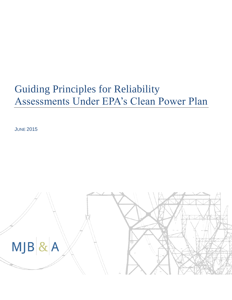# Guiding Principles for Reliability Assessments Under EPA's Clean Power Plan

**JUNE 2015** 

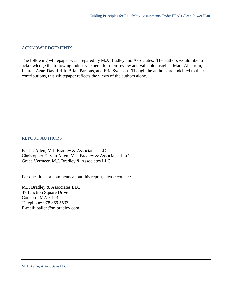#### ACKNOWLEDGEMENTS

The following whitepaper was prepared by M.J. Bradley and Associates. The authors would like to acknowledge the following industry experts for their review and valuable insights: Mark Ahlstrom, Lauren Azar, David Hilt, Brian Parsons, and Eric Svenson. Though the authors are indebted to their contributions, this whitepaper reflects the views of the authors alone.

#### REPORT AUTHORS

Paul J. Allen, M.J. Bradley & Associates LLC Christopher E. Van Atten, M.J. Bradley & Associates LLC Grace Vermeer, M.J. Bradley & Associates LLC

For questions or comments about this report, please contact:

M.J. Bradley & Associates LLC 47 Junction Square Drive Concord, MA 01742 Telephone: 978 369 5533 E-mail: pallen@mjbradley.com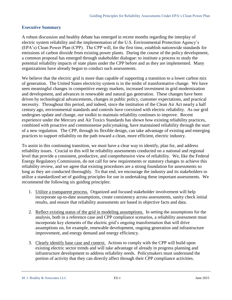#### **Executive Summary**

A robust discussion and healthy debate has emerged in recent months regarding the interplay of electric system reliability and the implementation of the U.S. Environmental Protection Agency's (EPA's) Clean Power Plan (CPP). The CPP will, for the first time, establish nationwide standards for emissions of carbon dioxide from existing power plants. During the course of the policy development, a common proposal has emerged through stakeholder dialogue: to institute a process to study the potential reliability impacts of state plans under the CPP before and as they are implemented. Many organizations have already begun to conduct such assessments.

We believe that the electric grid is more than capable of supporting a transition to a lower carbon mix of generation. The United States electricity system is in the midst of transformative change. We have seen meaningful changes in competitive energy markets, increased investment in grid modernization and development, and advances in renewable and natural gas generation. These changes have been driven by technological advancements, changes in public policy, customer expectations, and practical necessity. Throughout this period, and indeed, since the institution of the Clean Air Act nearly a half century ago, environmental standards and controls have coexisted with electric reliability. As our grid undergoes update and change, our toolkit to maintain reliability continues to improve. Recent experience under the Mercury and Air Toxics Standards has shown how existing reliability practices, combined with proactive and commonsense policymaking, have maintained reliability through the start of a new regulation. The CPP, through its flexible design, can take advantage of existing and emerging practices to support reliability on the path toward a clean, more efficient, electric industry.

To assist in this continuing transition, we must have a clear way to identify, plan for, and address reliability issues. Crucial to this will be reliability assessments conducted on a national and regional level that provide a consistent, productive, and comprehensive view of reliability. We, like the Federal Energy Regulatory Commission, do not call for new requirements or statutory changes to achieve this reliability review, and we agree that existing procedures are a strong foundation for assessments so long as they are conducted thoroughly. To that end, we encourage the industry and its stakeholders to utilize a standardized set of guiding principles for use in undertaking these important assessments. We recommend the following six guiding principles:

- 1. Utilize a transparent process. Organized and focused stakeholder involvement will help incorporate up-to-date assumptions, create consistency across assessments, sanity check initial results, and ensure that reliability assessments are based in objective facts and data.
- 2. Reflect existing status of the grid in modeling assumptions. In setting the assumptions for the analysis, both in a reference case and CPP compliance scenarios, a reliability assessment must incorporate key elements of the electric grid's ongoing transformation that will drive assumptions on, for example, renewable development, ongoing generation and infrastructure improvement, and energy demand and energy efficiency.
- 3. Clearly identify base case and context. Actions to comply with the CPP will build upon existing electric sector trends and will take advantage of already in progress planning and infrastructure development to address reliability needs. Policymakers must understand the portion of activity that they can directly affect through their CPP compliance activities.

M. J. Bradley & Associates LLC **ES-1 ES-1** June 2015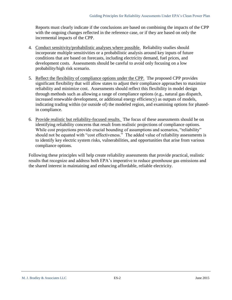Reports must clearly indicate if the conclusions are based on combining the impacts of the CPP with the ongoing changes reflected in the reference case, or if they are based on only the incremental impacts of the CPP.

- 4. Conduct sensitivity/probabilistic analyses where possible. Reliability studies should incorporate multiple sensitivities or a probabilistic analysis around key inputs of future conditions that are based on forecasts, including electricity demand, fuel prices, and development costs. Assessments should be careful to avoid only focusing on a low probability/high risk scenario.
- 5. Reflect the flexibility of compliance options under the CPP. The proposed CPP provides significant flexibility that will allow states to adjust their compliance approaches to maximize reliability and minimize cost. Assessments should reflect this flexibility in model design through methods such as allowing a range of compliance options (e.g., natural gas dispatch, increased renewable development, or additional energy efficiency) as outputs of models, indicating trading within (or outside of) the modeled region, and examining options for phasedin compliance.
- 6. Provide realistic but reliability-focused results. The focus of these assessments should be on identifying reliability concerns that result from realistic projections of compliance options. While cost projections provide crucial bounding of assumptions and scenarios, "reliability" should not be equated with "cost effectiveness." The added value of reliability assessments is to identify key electric system risks, vulnerabilities, and opportunities that arise from various compliance options.

Following these principles will help create reliability assessments that provide practical, realistic results that recognize and address both EPA's imperative to reduce greenhouse gas emissions and the shared interest in maintaining and enhancing affordable, reliable electricity.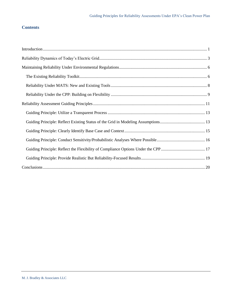## **Contents**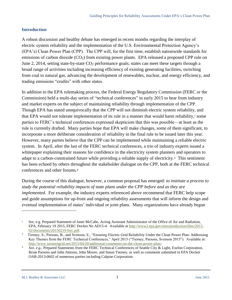#### <span id="page-5-0"></span>**Introduction**

A robust discussion and healthy debate has emerged in recent months regarding the interplay of electric system reliability and the implementation of the U.S. Environmental Protection Agency's (EPA's) Clean Power Plan (CPP). The CPP will, for the first time, establish nationwide standards for emissions of carbon dioxide (CO<sub>2</sub>) from existing power plants. EPA released a proposed CPP rule on June 2, 2014, setting state-by-state  $CO<sub>2</sub>$  performance goals; states can meet these targets through a broad range of activities including increasing efficiency of existing generating facilities, switching from coal to natural gas, advancing the development of renewables, nuclear, and energy efficiency, and trading emissions "credits" with other states.

In addition to the EPA rulemaking process, the Federal Energy Regulatory Commission (FERC or the Commission) held a multi-day series of "technical conferences" in early 2015 to hear from industry and market experts on the subject of maintaining reliability through implementation of the CPP. Though EPA has stated unequivocally that the CPP will not diminish electric system reliability, and that EPA would not tolerate implementation of its rule in a manner that would harm reliability,<sup>1</sup> some parties to FERC's technical conferences expressed skepticism that this was possible—at least as the rule is currently drafted. Many parties hope that EPA will make changes, some of them significant, to incorporate a more deliberate consideration of reliability in the final rule to be issued later this year. However, many parties believe that the CPP can be implemented while maintaining a reliable electric system. In April, after the last of the FERC technical conferences, a trio of industry experts issued a whitepaper explaining their reasons for confidence in the electricity system planners and operators to adapt to a carbon-constrained future while providing a reliable supply of electricity.<sup>2</sup> This sentiment has been echoed by others throughout the stakeholder dialogue on the CPP, both at the FERC technical conferences and other forums. 3

During the course of this dialogue, however, a common proposal has emerged: *to institute a process to study the potential reliability impacts of state plans under the CPP before and as they are implemented*. For example, the industry experts referenced above recommend that FERC help scope and guide assumptions for up-front and ongoing reliability assessments that will inform the design and eventual implementation of states' individual or joint plans. Many organizations have already begun

<sup>1</sup> *See*, e.g. Prepared Statement of Janet McCabe, Acting Assistant Administrator of the Office of Air and Radiation, EPA, February 19 2015, FERC Docket No AD15-4. Available a[t http://www2.epa.gov/sites/production/files/2015-](http://www2.epa.gov/sites/production/files/2015-02/documents/20150219-ferc.pdf) [02/documents/20150219-ferc.pdf.](http://www2.epa.gov/sites/production/files/2015-02/documents/20150219-ferc.pdf)

<sup>&</sup>lt;sup>2</sup> Tierney, S., Parsons, B., and Svenson, E., "Ensuring Electric Grid Reliability Under the Clean Power Plan: Addressing Key Themes from the FERC Technical Conferences," April 2015 ("Tierney, Parsons, Svenson 2015"). Available at: [http://www.westerngrid.net/2015/04/20/additional-comments-on-the-clean-power-plan/.](http://www.westerngrid.net/2015/04/20/additional-comments-on-the-clean-power-plan/)

<sup>3</sup> *See, e.g.,* Prepared Statements from the FERC Technical Conferences of Seattle City & Light, Exelon Corporation, Brian Parsons and John Jimison, John Moore, and Susan Tierney, as well as comments submitted in EPA Docket OAR-2013-0602 of numerous parties including Calpine Corporation.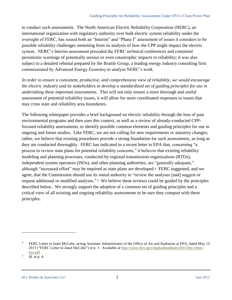to conduct such assessments. The North American Electric Reliability Corporation (NERC), an international organization with regulatory authority over bulk electric system reliability under the oversight of FERC, has issued both an "Interim" and "Phase I" assessment of issues it considers to be possible reliability challenges stemming from its analysis of how the CPP might impact the electric system. NERC's Interim assessment preceded the FERC technical conferences and contained pessimistic warnings of potentially serious or even catastrophic impacts to reliability; it was also subject to a detailed rebuttal prepared by the Brattle Group, a leading energy industry consulting firm commissioned by Advanced Energy Economy to analyze NERC's work.

*In order to ensure a consistent, productive, and comprehensive view of reliability, we would encourage the electric industry and its stakeholders to develop a standardized set of guiding principles for use in undertaking these important assessments.* This will not only ensure a more thorough and useful assessment of potential reliability issues, it will allow for more coordinated responses to issues that may cross state and reliability area boundaries.

The following whitepaper provides a brief background on electric reliability through the lens of past environmental programs and then uses this context, as well as a review of already-conducted CPPfocused reliability assessments, to identify possible common elements and guiding principles for use in ongoing and future studies. Like FERC, we are not calling for new requirements or statutory changes; rather, we believe that existing procedures provide a strong foundation for such assessments, so long as they are conducted thoroughly. FERC has indicated in a recent letter to EPA that, concerning "a process to review state plans for potential reliability concerns," it believes that existing reliability modeling and planning processes, conducted by regional transmission organizations (RTOs), independent system operators (ISOs), and other planning authorities, are "generally adequate," although "increased effort" may be required as state plans are developed.<sup>4</sup> FERC suggested, and we agree, that the Commission should use its stated authority to "review the analyses [and] suggest or request additional or modified analyses." <sup>5</sup> We believe these reviews could be guided by the principles described below. We strongly support the adoption of a common set of guiding principles and a critical view of all existing and ongoing reliability assessments to be sure they comport with these principles.

<sup>4</sup> FERC Letter to Janet McCabe, acting Assistant Administrator of the Office of Air and Radiation at EPA, dated May 15 2015 ("FERC Letter to Janet McCabe") at p. 3. Available at [http://www.ferc.gov/media/headlines/2015/ferc-letter](http://www.ferc.gov/media/headlines/2015/ferc-letter-epa.pdf)[epa.pdf.](http://www.ferc.gov/media/headlines/2015/ferc-letter-epa.pdf)

<sup>5</sup> *Id.* at p. 4.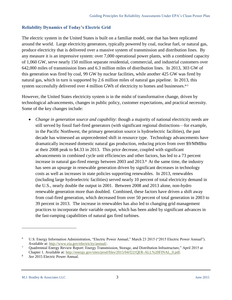#### <span id="page-7-0"></span>**Reliability Dynamics of Today's Electric Grid**

The electric system in the United States is built on a familiar model, one that has been replicated around the world. Large electricity generators, typically powered by coal, nuclear fuel, or natural gas, produce electricity that is delivered over a massive system of transmission and distribution lines. By any measure it is an impressive system: over 7,000 operational power plants, with a combined capacity of 1,060 GW, serve nearly 150 million separate residential, commercial, and industrial customers over 642,000 miles of transmission lines and 6.3 million miles of distribution lines. In 2013, 303 GW of this generation was fired by coal, 99 GW by nuclear facilities, while another 425 GW was fired by natural gas, which in turn is supported by 2.6 million miles of natural gas pipeline. In 2013, this system successfully delivered over 4 million GWh of electricity to homes and businesses.<sup>6,7</sup>

However, the United States electricity system is in the midst of transformative change, driven by technological advancements, changes in public policy, customer expectations, and practical necessity. Some of the key changes include:

 *Change in generation source and capability*: though a majority of national electricity needs are still served by fossil fuel-fired generators (with significant regional distinctions—for example, in the Pacific Northwest, the primary generation source is hydroelectric facilities), the past decade has witnessed an unprecedented shift in resource type. Technology advancements have dramatically increased domestic natural gas production, reducing prices from over \$9/MMBtu at their 2008 peak to \$4.33 in 2013. This price decrease, coupled with significant advancements in combined cycle unit efficiencies and other factors, has led to a 73 percent increase in natural gas-fired energy between 2003 and 2013.<sup>8</sup> At the same time, the industry has seen an upsurge in renewable generation driven by significant decreases in technology costs as well as increases in state policies supporting renewables. In 2013, renewables (including large hydroelectric facilities) served nearly 10 percent of total electricity demand in the U.S., nearly double the output in 2001. Between 2008 and 2013 alone, non-hydro renewable generation more than doubled. Combined, these factors have driven a shift away from coal-fired generation, which decreased from over 50 percent of total generation in 2003 to 39 percent in 2013. The increase in renewables has also led to changing grid management practices to incorporate their variable output, which has been aided by significant advances in the fast-ramping capabilities of natural gas fired turbines.

<sup>6</sup> U.S. Energy Information Administration, "Electric Power Annual," March 23 2015 ("2015 Electric Power Annual"). Available at: [http://www.eia.gov/electricity/annual/.](http://www.eia.gov/electricity/annual/)

<sup>7</sup> Quadrennial Energy Review Report: Energy Transmission, Storage, and Distribution Infrastructure," April 2015 at Chapter 1. Available at: [http://energy.gov/sites/prod/files/2015/04/f22/QER-ALL%20FINAL\\_0.pdf.](http://energy.gov/sites/prod/files/2015/04/f22/QER-ALL%20FINAL_0.pdf)

<sup>8</sup> *See* 2015 Electric Power Annual.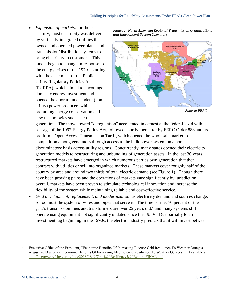*Expansion of markets*: for the past century, most electricity was delivered by vertically-integrated utilities that owned and operated power plants and transmission/distribution systems to bring electricity to customers. This model began to change in response to the energy crises of the 1970s, starting with the enactment of the Public Utility Regulatory Policies Act (PURPA), which aimed to encourage domestic energy investment and opened the door to independent (nonutility) power producers while promoting energy conservation and new technologies such as co-

*Figure 1. North American Regional Transmission Organizations and Independent System Operators*



*Source: FERC*

generation. The move toward "deregulation" accelerated in earnest at the federal level with passage of the 1992 Energy Policy Act, followed shortly thereafter by FERC Order 888 and its pro forma Open Access Transmission Tariff, which opened the wholesale market to competition among generators through access to the bulk power system on a nondiscriminatory basis across utility regions. Concurrently, many states opened their electricity generation models to restructuring and unbundling of generation assets. In the last 30 years, restructured markets have emerged in which numerous parties own generation that then contract with utilities or sell into organized markets. These markets cover roughly half of the country by area and around two thirds of total electric demand (see Figure 1). Though there have been growing pains and the operations of markets vary significantly by jurisdiction, overall, markets have been proven to stimulate technological innovation and increase the flexibility of the system while maintaining reliable and cost-effective service.

 *Grid development, replacement, and modernization*: as electricity demand and sources change, so too must the system of wires and pipes that serve it. The time is ripe: 70 percent of the grid's transmission lines and transformers are over 25 years old,<sup>9</sup> and many systems still operate using equipment not significantly updated since the 1950s. Due partially to an investment lag beginning in the 1990s, the electric industry predicts that it will invest between

M.J. Bradley & Associates LLC 4 June 2015

<sup>9</sup> Executive Office of the President, "Economic Benefits Of Increasing Electric Grid Resilience To Weather Outages," August 2013 at p. 7 ("Economic Benefits Of Increasing Electric Grid Resilience To Weather Outages"). Available at [http://energy.gov/sites/prod/files/2013/08/f2/Grid%20Resiliency%20Report\\_FINAL.pdf](http://energy.gov/sites/prod/files/2013/08/f2/Grid%20Resiliency%20Report_FINAL.pdf)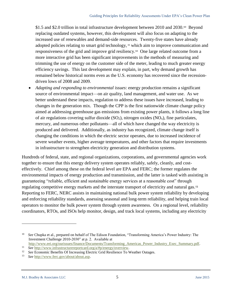\$1.5 and \$2.0 trillion in total infrastructure development between 2010 and 2030.<sup>10</sup> Beyond replacing outdated systems, however, this development will also focus on adapting to the increased use of renewables and demand-side resources. Twenty-five states have already adopted policies relating to smart grid technology, <sup>11</sup> which aim to improve communication and responsiveness of the grid and improve grid resiliency. 12 One large related outcome from a more interactive grid has been significant improvements in the methods of measuring and trimming the use of energy on the customer side of the meter, leading to much greater energy efficiency savings. This last development may explain, in part, why demand growth has remained below historical norms even as the U.S. economy has recovered since the recessiondriven lows of 2008 and 2009.

 *Adapting and responding to environmental issues*: energy production remains a significant source of environmental impact—on air quality, land management, and water use. As we better understand these impacts, regulation to address these issues have increased, leading to changes in the generation mix. Though the CPP is the first nationwide climate change policy aimed at addressing greenhouse gas emissions from existing power plants, it follows a long line of air regulations covering sulfur dioxide  $(SO_2)$ , nitrogen oxides  $(NO_x)$ , fine particulates, mercury, and numerous other pollutants—all of which have changed the way electricity is produced and delivered. Additionally, as industry has recognized, climate change itself is changing the conditions in which the electric sector operates, due to increased incidence of severe weather events, higher average temperatures, and other factors that require investments in infrastructure to strengthen electricity generation and distribution systems.

Hundreds of federal, state, and regional organizations, corporations, and governmental agencies work together to ensure that this energy delivery system operates reliably, safely, cleanly, and costeffectively. Chief among these on the federal level are EPA and FERC; the former regulates the environmental impacts of energy production and transmission, and the latter is tasked with assisting in guaranteeing "reliable, efficient and sustainable energy services at a reasonable cost" through regulating competitive energy markets and the interstate transport of electricity and natural gas.<sup>13</sup> Reporting to FERC, NERC assists in maintaining national bulk power system reliability by developing and enforcing reliability standards, assessing seasonal and long‐term reliability, and helping train local operators to monitor the bulk power system through system awareness. On a regional level, reliability coordinators, RTOs, and ISOs help monitor, design, and track local systems, including any electricity

<sup>10</sup> *See* Chupka et al., prepared on behalf of The Edison Foundation, "Transforming America's Power Industry: The Investment Challenge 2010-2030" at p. 2. Available at

[http://www.eei.org/ourissues/finance/Documents/Transforming\\_Americas\\_Power\\_Industry\\_Exec\\_Summary.pdf.](http://www.eei.org/ourissues/finance/Documents/Transforming_Americas_Power_Industry_Exec_Summary.pdf)  11 *See* [http://www.infrastructurereportcard.org/a/#p/energy/overview.](http://www.infrastructurereportcard.org/a/#p/energy/overview) 

<sup>12</sup> *See* Economic Benefits Of Increasing Electric Grid Resilience To Weather Outages.

<sup>13</sup> *See* [http://www.ferc.gov/about/about.asp.](http://www.ferc.gov/about/about.asp)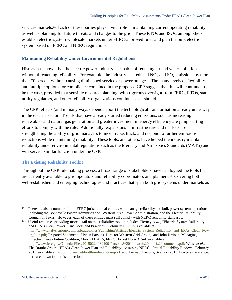services markets.<sup>14</sup> Each of these parties plays a vital role in maintaining current operating reliability as well as planning for future threats and changes to the grid. These RTOs and ISOs, among others, establish electric system wholesale markets under FERC-approved rules and plan the bulk electric system based on FERC and NERC regulations.

#### <span id="page-10-0"></span>**Maintaining Reliability Under Environmental Regulations**

History has shown that the electric power industry is capable of reducing air and water pollution without threatening reliability. For example, the industry has reduced  $NO<sub>x</sub>$  and  $SO<sub>2</sub>$  emissions by more than 70 percent without causing diminished service or power outages. The many levels of flexibility and multiple options for compliance contained in the proposed CPP suggest that this will continue to be the case, provided that sensible resource planning, with rigorous oversight from FERC, RTOs, state utility regulators, and other reliability organizations continues as it should.

The CPP reflects (and in many ways depends upon) the technological transformation already underway in the electric sector. Trends that have already started reducing emissions, such as increasing renewables and natural gas generation and greater investment in energy efficiency are jump starting efforts to comply with the rule. Additionally, expansions in infrastructure and markets are strengthening the ability of grid managers to incentivize, track, and respond to further emissions reductions while maintaining reliability. These tools, and others, have helped the industry maintain reliability under environmental regulations such as the Mercury and Air Toxics Standards (MATS) and will serve a similar function under the CPP.

#### <span id="page-10-1"></span>**The Existing Reliability Toolkit**

 $\overline{a}$ 

Throughout the CPP rulemaking process, a broad range of stakeholders have catalogued the tools that are currently available to grid operators and reliability coordinators and planners. 15 Covering both well-established and emerging technologies and practices that span both grid systems under markets as

15 Useful resources providing more detail on this reliability toolkit include: Tierney *et al.,* "Electric System Reliability and EPA's Clean Power Plan: Tools and Practices," February 19 2015, available at [http://www.analysisgroup.com/uploadedFiles/Publishing/Articles/Electric\\_System\\_Reliability\\_and\\_EPAs\\_Clean\\_Pow](http://www.analysisgroup.com/uploadedFiles/Publishing/Articles/Electric_System_Reliability_and_EPAs_Clean_Power_Plan.pdf) [er\\_Plan.pdf;](http://www.analysisgroup.com/uploadedFiles/Publishing/Articles/Electric_System_Reliability_and_EPAs_Clean_Power_Plan.pdf) Prepared Statement of Brian Parsons, Director Western Grid Group, and John Jimison, Managing Director Energy Future Coalition, March 11 2015, FERC Docket No AD15-4, available at [http://www.ferc.gov/CalendarFiles/20150224084400-Parsons,%20Jimison%20joint%20comments.pdf;](http://www.ferc.gov/CalendarFiles/20150224084400-Parsons,%20Jimison%20joint%20comments.pdf) Weiss *et al.,*  The Brattle Group, "EPA's Clean Power Plan and Reliability: Assessing NERC's Initial Reliability Review," February 2015, available at [http://info.aee.net/brattle-reliability-report;](http://info.aee.net/brattle-reliability-report) and Tierney, Parsons, Svenson 2015. Practices referenced here are drawn from this collection.

<sup>14</sup> There are also a number of non-FERC jurisdictional entities who manage reliability and bulk power system operations, including the Bonneville Power Administration, Western Area Power Administration, and the Electric Reliability Council of Texas. However, each of these entities must still comply with NERC reliability standards.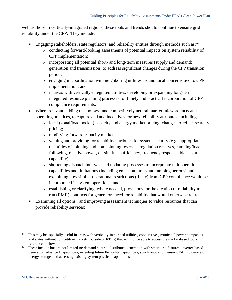well as those in vertically-integrated regions, these tools and trends should continue to ensure grid reliability under the CPP. They include:

- Engaging stakeholders, state regulators, and reliability entities through methods such as:<sup>16</sup>
	- o conducting forward-looking assessments of potential impacts on system reliability of CPP implementation;
	- o incorporating all potential short- and long-term measures (supply and demand; generation and transmission) to address significant changes during the CPP transition period;
	- o engaging in coordination with neighboring utilities around local concerns tied to CPP implementation; and
	- o in areas with vertically-integrated utilities, developing or expanding long-term integrated resource planning processes for timely and practical incorporation of CPP compliance requirements.
- Where relevant, adding technology- and competitively neutral market rules/products and operating practices, to capture and add incentives for new reliability attributes, including:
	- o local (zonal/load pocket) capacity and energy market pricing; changes to reflect scarcity pricing;
	- o modifying forward capacity markets;
	- o valuing and providing for reliability attributes for system security (e.g., appropriate quantities of spinning and non-spinning reserves, regulation reserves, ramping/loadfollowing, reactive power, on-site fuel sufficiency, frequency response, black start capability);
	- o shortening dispatch intervals and updating processes to incorporate unit operations capabilities and limitations (including emission limits and ramping periods) and examining how similar operational restrictions (if any) from CPP compliance would be incorporated in system operations; and
	- o establishing or clarifying, where needed, provisions for the creation of reliability must run (RMR) contracts for generators need for reliability that would otherwise retire.
- Examining all options<sup>17</sup> and improving assessment techniques to value resources that can provide reliability services:

<sup>&</sup>lt;sup>16</sup> This may be especially useful in areas with vertically-integrated utilities, cooperatives, municipal power companies, and states without competitive markets (outside of RTOs) that will not be able to access the market-based tools referenced below.

<sup>&</sup>lt;sup>17</sup> These include but are not limited to: demand control, distributed generation with smart grid features, inverter-based generation advanced capabilities, incenting future flexibility capabilities, synchronous condensers, FACTS devices, energy storage, and accessing existing system physical capabilities.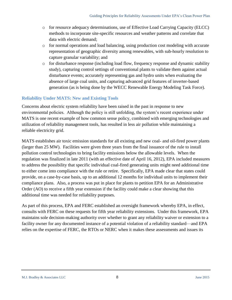- o for resource adequacy determinations, use of Effective Load Carrying Capacity (ELCC) methods to incorporate site-specific resources and weather patterns and correlate that data with electric demand;
- o for normal operations and load balancing, using production cost modeling with accurate representation of geographic diversity among renewables, with sub-hourly resolution to capture granular variability; and
- o for disturbance response (including load flow, frequency response and dynamic stability study), capturing control settings of conventional plants to validate them against actual disturbance events; accurately representing gas and hydro units when evaluating the absence of large coal units, and capturing advanced grid features of inverter-based generation (as is being done by the WECC Renewable Energy Modeling Task Force).

#### <span id="page-12-0"></span>**Reliability Under MATS: New and Existing Tools**

Concerns about electric system reliability have been raised in the past in response to new environmental policies. Although the policy is still unfolding, the system's recent experience under MATS is one recent example of how common sense policy, combined with emerging technologies and utilization of reliability management tools, has resulted in less air pollution while maintaining a reliable electricity grid.

MATS establishes air toxic emission standards for all existing and new coal- and oil-fired power plants (larger than 25 MW). Facilities were given three years from the final issuance of the rule to install pollution control technologies to bring facility emissions below the allowable levels. When the regulation was finalized in late 2011 (with an effective date of April 16, 2012), EPA included measures to address the possibility that specific individual coal-fired generating units might need additional time to either come into compliance with the rule or retire. Specifically, EPA made clear that states could provide, on a case-by-case basis, up to an additional 12 months for individual units to implement their compliance plans. Also, a process was put in place for plants to petition EPA for an Administrative Order (AO) to receive a fifth year extension if the facility could make a clear showing that this additional time was needed for reliability purposes.

As part of this process, EPA and FERC established an oversight framework whereby EPA, in effect, consults with FERC on these requests for fifth year reliability extensions. Under this framework, EPA maintains sole decision-making authority over whether to grant any reliability waiver or extension to a facility owner for any documented instance of a potential violation of a reliability standard—and EPA relies on the expertise of FERC, the RTOs or NERC when it makes these assessments and issues its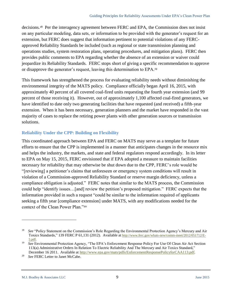decisions.18 Per the interagency agreement between FERC and EPA, the Commission does not insist on any particular modeling, data sets, or information to be provided with the generator's request for an extension, but FERC does suggest that information pertinent to potential violations of any FERCapproved Reliability Standards be included (such as regional or state transmission planning and operations studies, system restoration plans, operating procedures, and mitigation plans). FERC then provides public comments to EPA regarding whether the absence of an extension or waiver could jeopardize its Reliability Standards. FERC stops short of giving a specific recommendation to approve or disapprove the generator's request, leaving this determination to EPA.<sup>19</sup>

This framework has strengthened the process for evaluating reliability needs without diminishing the environmental integrity of the MATS policy. Compliance officially began April 16, 2015, with approximately 40 percent of all covered coal-fired units requesting the fourth year extension (and 99 percent of those receiving it). However, out of approximately 1,100 affected coal-fired generators, we have identified to date only two generating facilities that have requested (and received) a fifth-year extension. When it has been necessary, generation planners and the market have responded in the vast majority of cases to replace the retiring power plants with other generation sources or transmission solutions.

## <span id="page-13-0"></span>**Reliability Under the CPP: Building on Flexibility**

This coordinated approach between EPA and FERC on MATS may serve as a template for future efforts to ensure that the CPP is implemented in a manner that anticipates changes in the resource mix and helps the industry, the markets, and state and federal regulators respond accordingly. In its letter to EPA on May 15, 2015, FERC envisioned that if EPA adopted a measure to maintain facilities necessary for reliability that may otherwise be shut down due to the CPP, FERC's role would be "[reviewing] a petitioner's claims that unforeseen or emergency system conditions will result in violation of a Commission-approved Reliability Standard or reserve margin deficiency, unless a compliance obligation is adjusted." FERC notes that similar to the MATS process, the Commission could help "identify issues…[and] review the petition's proposed mitigation." FERC expects that the information provided in such a request "could be similar to the information required of applicants seeking a fifth year [compliance extension] under MATS, with any modifications needed for the context of the Clean Power Plan."<sup>20</sup>

<sup>&</sup>lt;sup>18</sup> See "Policy Statement on the Commission's Role Regarding the Environmental Protection Agency's Mercury and Air Toxics Standards," 139 FERC P 61,131 (2012). Available at [http://www.ferc.gov/whats-new/comm-meet/2012/051712/E-](http://www.ferc.gov/whats-new/comm-meet/2012/051712/E-5.pdf)[5.pdf.](http://www.ferc.gov/whats-new/comm-meet/2012/051712/E-5.pdf)

<sup>19</sup> *See* Environmental Protection Agency, "The EPA's Enforcement Response Policy For Use Of Clean Air Act Section 113(a) Administrative Orders In Relation To Electric Reliability And The Mercury and Air Toxics Standard," December 16 2011. Available at [http://www.epa.gov/mats/pdfs/EnforcementResponsePolicyforCAA113.pdf.](http://www.epa.gov/mats/pdfs/EnforcementResponsePolicyforCAA113.pdf) 

<sup>20</sup> *See* FERC Letter to Janet McCabe.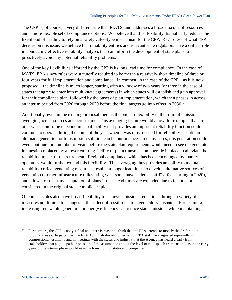The CPP is, of course, a very different rule than MATS, and addresses a broader scope of resources and a more flexible set of compliance options. We believe that this flexibility dramatically reduces the likelihood of needing to rely on a safety valve-type mechanism for the CPP. Regardless of what EPA decides on this issue, we believe that reliability entities and relevant state regulators have a critical role in conducting effective reliability analyses that can inform the development of state plans to proactively avoid any potential reliability problems.

One of the key flexibilities afforded by the CPP is its long lead time for compliance. In the case of MATS, EPA's new rules were statutorily required to be met in a relatively short timeline of three or four years for full implementation and compliance. In contrast, in the case of the CPP—as it is now proposed—the timeline is much longer, starting with a window of two years (or three in the case of states that agree to enter into multi-state agreements) in which states will establish and gain approval for their compliance plan, followed by the onset of plan implementation, which then phases in across an interim period from 2020 through 2029 before the final targets go into effect in 2030.<sup>21</sup>

Additionally, even in the existing proposal there is the built-in flexibility in the form of emissions averaging across sources and across time. This averaging feature would allow, for example, that an otherwise soon-to-be uneconomic coal facility that provides an important reliability function could continue to operate during the hours of the year when it was most needed for reliability or until an alternate generation or transmission solution can be put in place. In many cases, this generation could even continue for a number of years before the state plan requirements would need to see the generator in question replaced by a lower emitting facility or put a transmission upgrade in place to alleviate the reliability impact of the retirement. Regional compliance, which has been encouraged by market operators, would further extend this flexibility. This averaging thus provides an ability to maintain reliability-critical generating resources, results in longer lead times to develop alternative sources of generation or other infrastructure (alleviating what some have called a "cliff" effect starting in 2020), and allows for real-time adaptation of plans if these lead times are extended due to factors not considered in the original state compliance plan.

Of course, states also have broad flexibility to achieve emissions reductions through a variety of measures not limited to changes in their fleet of fossil fuel-fired generators' dispatch. For example, increasing renewable generation or energy efficiency can reduce state emissions while maintaining

<sup>&</sup>lt;sup>21</sup> Furthermore, the CPP is not yet final and there is reason to think that the EPA intends to modify the draft rule in important ways. In particular, the EPA Administrator and other senior EPA staff have signaled repeatedly in congressional testimony and in meetings with the states and industry that the Agency has heard clearly from stakeholders that a glide path or phase-in of the assumptions about the level of re-dispatch from coal to gas in the early years of the interim phase would ease the transition for states and companies.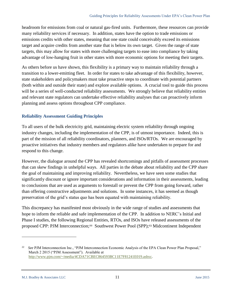headroom for emissions from coal or natural gas-fired units. Furthermore, these resources can provide many reliability services if necessary. In addition, states have the option to trade emissions or emissions credits with other states, meaning that one state could conceivably exceed its emissions target and acquire credits from another state that is below its own target. Given the range of state targets, this may allow for states with more challenging targets to ease into compliance by taking advantage of low-hanging fruit in other states with more economic options for meeting their targets.

As others before us have shown, this flexibility is a primary way to maintain reliability through a transition to a lower-emitting fleet. In order for states to take advantage of this flexibility, however, state stakeholders and policymakers must take proactive steps to coordinate with potential partners (both within and outside their state) and explore available options. A crucial tool to guide this process will be a series of well-conducted reliability assessments. We strongly believe that reliability entities and relevant state regulators can undertake effective reliability analyses that can proactively inform planning and assess options throughout CPP compliance.

## <span id="page-15-0"></span>**Reliability Assessment Guiding Principles**

To all users of the bulk electricity grid, maintaining electric system reliability through ongoing industry changes, including the implementation of the CPP, is of utmost importance. Indeed, this is part of the mission of all reliability coordinators, planners, and ISOs/RTOs. We are encouraged by proactive initiatives that industry members and regulators alike have undertaken to prepare for and respond to this change.

However, the dialogue around the CPP has revealed shortcomings and pitfalls of assessment processes that can skew findings in unhelpful ways. All parties in the debate about reliability and the CPP share the goal of maintaining and improving reliability. Nevertheless, we have seen some studies that significantly discount or ignore important considerations and information in their assessments, leading to conclusions that are used as arguments to forestall or prevent the CPP from going forward, rather than offering constructive adjustments and solutions. In some instances, it has seemed as though preservation of the grid's status quo has been equated with maintaining reliability.

This discrepancy has manifested most obviously in the wide range of studies and assessments that hope to inform the reliable and safe implementation of the CPP. In addition to NERC's Initial and Phase I studies, the following Regional Entities, RTOs, and ISOs have released assessments of the proposed CPP: PJM Interconnection;<sup>22</sup> Southwest Power Pool (SPP);<sup>23</sup> Midcontinent Independent

M.J. Bradley & Associates LLC 11 June 2015

<sup>22</sup> *See* PJM Interconnection Inc., "PJM Interconnection Economic Analysis of the EPA Clean Power Plan Proposal," March 2 2015 ("PJM Assessment"). Available at [http://www.pjm.com/~/media/4CDA71CBEC864593BC11E7F81241E019.ashxc](http://www.pjm.com/~/media/4CDA71CBEC864593BC11E7F81241E019.ashx).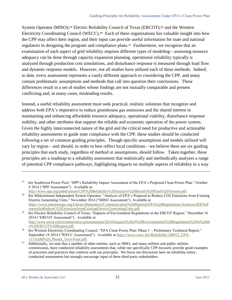System Operator (MISO);<sup>24</sup> Electric Reliability Council of Texas (ERCOT);<sup>25</sup> and the Western Electricity Coordinating Council (WECC).<sup>26</sup> Each of these organizations has valuable insight into how the CPP may affect their region, and their input can provide useful information for state and national regulators in designing the program and compliance plans.<sup>27</sup> Furthermore, we recognize that an examination of each aspect of grid reliability requires different types of modeling—assessing resource adequacy can be done through capacity expansion planning, operational reliability typically is analyzed through production cost simulations, and disturbance response is measured through load flow and dynamic response models. However, not all studies have utilized each of these methods. Indeed, to date, every assessment represents a vastly different approach to considering the CPP, and many contain problematic assumptions and methods that call into question their conclusions. These differences result in a set of studies whose findings are not mutually comparable and present conflicting and, in many cases, misleading results.

Instead, a useful reliability assessment must seek practical, realistic solutions that recognize and address both EPA's imperative to reduce greenhouse gas emissions and the shared interest in maintaining and enhancing affordable resource adequacy, operational viability, disturbance response stability, and other attributes that support the reliable and economic operation of the power system. Given the highly interconnected nature of the grid and the critical need for productive and actionable reliability assessments to guide state compliance with the CPP, these studies should be conducted following a set of common guiding principles. Though specific assumptions and models utilized will vary by region—and should, in order to best reflect local conditions—we believe there are six guiding principles that each study, regardless of method or assumptions, should follow. Taken together, these principles are a roadmap to a reliability assessment that realistically and methodically analyzes a range of potential CPP compliance pathways, highlighting impacts on multiple aspects of reliability in a way

<sup>23</sup> *See* Southwest Power Pool, "SPP's Reliability Impact Assessment of the EPA's Proposed Clean Power Plan," October 8 2014 ("SPP Assessment"). Available at

[http://www.spp.org/publications/CPP%20Reliability%20Analysis%20Results%20Final%20Version.pdf.](http://www.spp.org/publications/CPP%20Reliability%20Analysis%20Results%20Final%20Version.pdf)

<sup>24</sup>  *See* Midcontinent Independent System Operator, "Analysis of EPA's Proposal to Reduce CO2 Emissions from Existing Electric Generating Units," November 2014 ("MISO Assessment"). Available at [https://www.misoenergy.org/Library/Repository/Communication%20Material/EPA%20Regulations/AnalysisofEPAsP](https://www.misoenergy.org/Library/Repository/Communication%20Material/EPA%20Regulations/AnalysisofEPAsProposaltoReduceCO2EmissionsfromExistingElectricGeneratingUnits.pdf) [roposaltoReduceCO2EmissionsfromExistingElectricGeneratingUnits.pdf.](https://www.misoenergy.org/Library/Repository/Communication%20Material/EPA%20Regulations/AnalysisofEPAsProposaltoReduceCO2EmissionsfromExistingElectricGeneratingUnits.pdf)

<sup>25</sup> *See* Electric Reliability Council of Texas, "Impacts of Environment Regulations in the ERCOT Region," December 16 2014 ("ERCOT Assessment"). Available at [http://www.ercot.com/content/news/presentations/2014/Impacts%20of%20Environmental%20Regulations%20in%20th](http://www.ercot.com/content/news/presentations/2014/Impacts%20of%20Environmental%20Regulations%20in%20the%20ERCOT%20Region.pdf) [e%20ERCOT%20Region.pdf.](http://www.ercot.com/content/news/presentations/2014/Impacts%20of%20Environmental%20Regulations%20in%20the%20ERCOT%20Region.pdf)

<sup>26</sup> *See* Western Electricity Coordinating Council, "EPA Clean Power Plan: Phase 1 – Preliminary Technical Report," September 19 2014 ("WECC Assessment"). Available at [https://www.wecc.biz/Reliability/140912\\_EPA-](https://www.wecc.biz/Reliability/140912_EPA-111%28d%29_PhaseI_Tech-Final.pdf)[111%28d%29\\_PhaseI\\_Tech-Final.pdf.](https://www.wecc.biz/Reliability/140912_EPA-111%28d%29_PhaseI_Tech-Final.pdf)

<sup>27</sup> Additionally, we note that a number of other entities, such as NREL and many utilities and public utilities commissions, have conducted reliability assessments that, while not specifically CPP-focused, provide good examples of processes and practices that conform with our principles. We focus our discussion here on reliability entityconducted assessments but strongly encourage input of these third-party stakeholders.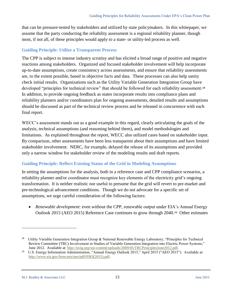that can be pressure-tested by stakeholders and utilized by state policymakers. In this whitepaper, we assume that the party conducting the reliability assessment is a regional reliability planner, though most, if not all, of these principles would apply to a state- or utility-led process as well.

## <span id="page-17-0"></span>**Guiding Principle: Utilize a Transparent Process**

The CPP is subject to intense industry scrutiny and has elicited a broad range of positive and negative reactions among stakeholders. Organized and focused stakeholder involvement will help incorporate up-to-date assumptions, create consistency across assessments, and ensure that reliability assessments are, to the extent possible, based in objective facts and data. These processes can also help sanity check initial results. Organizations such as the Utility Variable Generation Integration Group have developed "principles for technical review" that should be followed for each reliability assessment.<sup>28</sup> In addition, to provide ongoing feedback as states incorporate results into compliance plans and reliability planners and/or coordinators plan for ongoing assessments, detailed results and assumptions should be discussed as part of the technical review process and be released in concurrence with each final report.

WECC's assessment stands out as a good example in this regard, clearly articulating the goals of the analysis, technical assumptions (and reasoning behind them), and model methodologies and limitations. As explained throughout the report, WECC also utilized cases based on stakeholder input. By comparison, other assessments have been less transparent about their assumptions and have limited stakeholder involvement. NERC, for example, delayed the release of its assumptions and provided only a narrow window for stakeholder review of the modeling results and draft reports.

## <span id="page-17-1"></span>**Guiding Principle: Reflect Existing Status of the Grid in Modeling Assumptions**

In setting the assumptions for the analysis, both in a reference case and CPP compliance scenarios, a reliability planner and/or coordinator must recognize key elements of the electricity grid's ongoing transformation. It is neither realistic nor useful to presume that the grid will revert to pre-market and pre-technological advancement conditions. Though we do not advocate for a specific set of assumptions, we urge careful consideration of the following factors:

 *Renewable development*: even without the CPP, renewable output under EIA's Annual Energy Outlook 2015 (AEO 2015) Reference Case continues to grow through 2040.<sup>29</sup> Other estimates

<sup>28</sup> Utility Variable Generation Integration Group & National Renewable Energy Laboratory, "Principles for Technical Review Committee (TRC) Involvement in Studies of Variable Generation Integration into Electric Power Systems," June 2012. Available at: [http://uvig.org/wp-content/uploads/2009/05/TRCPrinciplesJune2012.pdf.](http://uvig.org/wp-content/uploads/2009/05/TRCPrinciplesJune2012.pdf)

<sup>&</sup>lt;sup>29</sup> U.S. Energy Information Administration, "Annual Energy Outlook 2015," April 2015 ("AEO 2015"). Available at: [http://www.eia.gov/forecasts/aeo/pdf/0383\(2015\).pdf.](http://www.eia.gov/forecasts/aeo/pdf/0383(2015).pdf)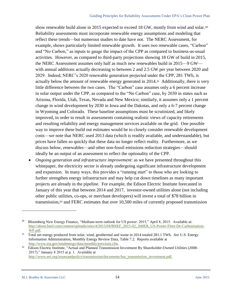show renewable build alone in 2015 expected to exceed 18 GW, mostly from wind and solar.<sup>30</sup> Reliability assessments must incorporate renewable energy assumptions and modeling that reflect these trends—but numerous studies to date have not. The NERC Assessment, for example, shows particularly limited renewable growth. It uses two renewable cases, "Carbon" and "No Carbon," as inputs to gauge the impact of the CPP as compared to business-as-usual activities. However, as compared to third-party projections showing 18 GW of build in 2015, the NERC Assessment assumes only half as much new renewables build in 2015—9 GW with annual additions actually decreasing to between 2 and 2.5 GW per year between 2020 and 2029. Indeed, NERC's 2020 renewable generation projected under the CPP, 281 TWh, is actually below the amount of renewable energy generated in 2014.<sup>31</sup> Additionally, there is very little difference between the two cases. The "Carbon" case assumes only a 6 percent increase in solar output under the CPP, as compared to the "No Carbon" case, by 2030 in states such as Arizona, Florida, Utah, Texas, Nevada and New Mexico; similarly, it assumes only a 1 percent change in wind development by 2030 in Iowa and the Dakotas, and only a 6-7 percent change in Wyoming and Colorado. These baseline assumptions must be scrutinized, and likely improved, in order to result in assessments containing realistic views of capacity retirements and resulting reliability and energy management services available on the grid. One possible way to improve these build out estimates would be to closely consider renewable development costs—we note that NERC used 2013 data (which is readily available, and understandable), but prices have fallen so quickly that these data no longer reflect reality. Furthermore, as we discuss below, renewables—and other non-fossil emissions reduction strategies—should ideally be an output of an assessment to reflect the optionality of the CPP.

 *Ongoing generation and infrastructure improvement*: as we have presented throughout this whitepaper, the electricity sector is already undergoing significant infrastructure development and expansion. In many ways, this provides a "running start" to those who are looking to further strengthen energy infrastructure and may help cut down timelines as many important projects are already in the pipeline. For example, the Edison Electric Institute forecasted in January of this year that between 2014 and 2017, investor-owned utilities alone (not including other public utilities, co-ops, or merchant developers) will invest a total of \$78 billion in transmission,<sup>32</sup> and FERC estimates that over 10,500 miles of currently proposed transmission

<sup>30</sup> Bloomberg New Energy Finance, "Medium-term outlook for US power: 2015," April 8, 2015. Available at: [http://about.bnef.com/content/uploads/sites/4/2015/04/BNEF\\_2015-02\\_AMER\\_US-Power-Fleet-De-Carbonisation-](http://about.bnef.com/content/uploads/sites/4/2015/04/BNEF_2015-02_AMER_US-Power-Fleet-De-Carbonisation-WP.pdf)[WP.pdf.](http://about.bnef.com/content/uploads/sites/4/2015/04/BNEF_2015-02_AMER_US-Power-Fleet-De-Carbonisation-WP.pdf) 

<sup>31</sup> Total net energy produced from solar, wind, geothermal and waste in 2014 totaled 281.1 TWh. *See* U.S. Energy Information Administration, Monthly Energy Review Data, Table 7.2. Reports available at [http://www.eia.gov/totalenergy/data/monthly/previous.cfm.](http://www.eia.gov/totalenergy/data/monthly/previous.cfm) 

<sup>32</sup> Edison Electric Institute, "Actual and Planned Transmission Investment By Shareholder-Owned Utilities (2008– 2017)," January 8 2015 at p. 1. Available at [http://www.eei.org/issuesandpolicy/transmission/documents/bar\\_transmission\\_investment.pdf.](http://www.eei.org/issuesandpolicy/transmission/documents/bar_transmission_investment.pdf)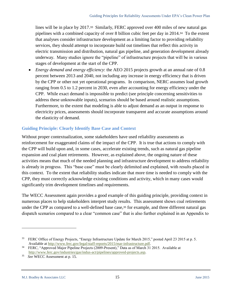lines will be in place by 2017.<sup>33</sup> Similarly, FERC approved over 400 miles of new natural gas pipelines with a combined capacity of over 8 billion cubic feet per day in 2014.<sup>34</sup> To the extent that analyses consider infrastructure development as a limiting factor to providing reliability services, they should attempt to incorporate build out timelines that reflect this activity in electric transmission and distribution, natural gas pipeline, and generation development already underway. Many studies ignore the "pipeline" of infrastructure projects that will be in various stages of development at the start of the CPP.

 *Energy demand and energy efficiency*: the AEO 2015 projects growth at an annual rate of 0.8 percent between 2013 and 2040, not including any increase in energy efficiency that is driven by the CPP or other not yet operational programs. In comparison, NERC assumes load growth ranging from 0.5 to 1.2 percent in 2030, even after accounting for energy efficiency under the CPP. While exact demand is impossible to predict (see principle concerning sensitivities to address these unknowable inputs), scenarios should be based around realistic assumptions. Furthermore, to the extent that modeling is able to adjust demand as an output in response to electricity prices, assessments should incorporate transparent and accurate assumptions around the elasticity of demand.

## <span id="page-19-0"></span>**Guiding Principle: Clearly Identify Base Case and Context**

Without proper contextualization, some stakeholders have used reliability assessments as reinforcement for exaggerated claims of the impact of the CPP. It is true that actions to comply with the CPP will build upon and, in some cases, accelerate existing trends, such as natural gas pipeline expansion and coal plant retirements. However, as explained above, the ongoing nature of these activities means that much of the needed planning and infrastructure development to address reliability is already in progress. This "base case" must be clearly delimited and explained, with results placed in this context. To the extent that reliability studies indicate that more time is needed to comply with the CPP, they must correctly acknowledge existing conditions and activity, which in many cases would significantly trim development timelines and requirements.

The WECC Assessment again provides a good example of this guiding principle, providing context in numerous places to help stakeholders interpret study results. This assessment shows coal retirements under the CPP as compared to a well-defined base case,<sup>35</sup> for example, and three different natural gas dispatch scenarios compared to a clear "common case" that is also further explained in an Appendix to

<sup>33</sup> FERC Office of Energy Projects, "Energy Infrastructure Update for March 2015," posted April 23 2015 at p. 5. Available a[t http://www.ferc.gov/legal/staff-reports/2015/mar-infrastructure.pdf.](http://www.ferc.gov/legal/staff-reports/2015/mar-infrastructure.pdf)

<sup>&</sup>lt;sup>34</sup> FERC, "Approved Major Pipeline Projects (2009-Present)," Data as of March 31 2015. Available at [http://www.ferc.gov/industries/gas/indus-act/pipelines/approved-projects.asp.](http://www.ferc.gov/industries/gas/indus-act/pipelines/approved-projects.asp)

<sup>35</sup> *See* WECC Assessment at p. 15.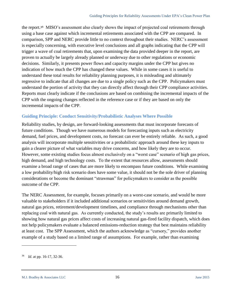the report.<sup>36</sup> MISO's assessment also clearly shows the impact of projected coal retirements through using a base case against which incremental retirements associated with the CPP are compared. In comparison, SPP and NERC provide little to no context throughout their studies. NERC's assessment is especially concerning, with executive level conclusions and all graphs indicating that the CPP will trigger a wave of coal retirements that, upon examining the data provided deeper in the report, are proven to actually be largely already planned or underway due to other regulations or economic decisions. Similarly, it presents power flows and capacity margins under the CPP but gives no indication of how much the CPP has changed these values. While in some cases it is useful to understand these total results for reliability planning purposes, it is misleading and ultimately regressive to indicate that all changes are due to a single policy such as the CPP. Policymakers must understand the portion of activity that they can directly affect through their CPP compliance activities. Reports must clearly indicate if the conclusions are based on combining the incremental impacts of the CPP with the ongoing changes reflected in the reference case or if they are based on only the incremental impacts of the CPP.

## <span id="page-20-0"></span>**Guiding Principle: Conduct Sensitivity/Probabilistic Analyses Where Possible**

Reliability studies, by design, are forward-looking assessments that must incorporate forecasts of future conditions. Though we have numerous models for forecasting inputs such as electricity demand, fuel prices, and development costs, no forecast can ever be entirely reliable. As such, a good analysis will incorporate multiple sensitivities or a probabilistic approach around these key inputs to gain a clearer picture of what variables may drive concerns, and how likely they are to occur. However, some existing studies focus almost exclusively on a "worst case" scenario of high gas prices, high demand, and high technology costs. To the extent that resources allow, assessments should examine a broad range of cases that are more likely to encompass future conditions. While examining a low probability/high risk scenario does have some value, it should not be the sole driver of planning considerations or become the dominant "strawman" for policymakers to consider as the possible outcome of the CPP.

The NERC Assessment, for example, focuses primarily on a worst-case scenario, and would be more valuable to stakeholders if it included additional scenarios or sensitivities around demand growth, natural gas prices, retirement/development timelines, and compliance through mechanisms other than replacing coal with natural gas. As currently conducted, the study's results are primarily limited to showing how natural gas prices affect costs of increasing natural gas-fired facility dispatch, which does not help policymakers evaluate a balanced emissions-reduction strategy that best maintains reliability at least cost. The SPP Assessment, which the authors acknowledge as "cursory," provides another example of a study based on a limited range of assumptions. For example, rather than examining

<sup>36</sup> *Id.* at pp. 16-17, 32-36.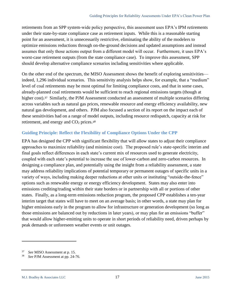retirements from an SPP system-wide policy perspective, this assessment uses EPA's IPM retirements under their state-by-state compliance case as retirement inputs. While this is a reasonable starting point for an assessment, it is unnecessarily restrictive, eliminating the ability of the modelers to optimize emissions reductions through on-the-ground decisions and updated assumptions and instead assumes that only those actions output from a different model will occur. Furthermore, it uses EPA's worst-case retirement outputs (from the state compliance case). To improve this assessment, SPP should develop alternative compliance scenarios including sensitivities where applicable.

On the other end of the spectrum, the MISO Assessment shows the benefit of exploring sensitivities indeed, 1,296 individual scenarios. This sensitivity analysis helps show, for example, that a "medium" level of coal retirements may be most optimal for limiting compliance costs, and that in some cases, already-planned coal retirements would be sufficient to reach regional emissions targets (though at higher cost).<sup>37</sup> Similarly, the PJM Assessment conducted an assessment of multiple scenarios differing across variables such as natural gas prices, renewable resource and energy efficiency availability, new natural gas development, and others. PJM also focused a section of its report on the impact each of these sensitivities had on a range of model outputs, including resource redispatch, capacity at risk for retirement, and energy and CO<sub>2</sub> prices.<sup>38</sup>

## <span id="page-21-0"></span>**Guiding Principle: Reflect the Flexibility of Compliance Options Under the CPP**

EPA has designed the CPP with significant flexibility that will allow states to adjust their compliance approaches to maximize reliability (and minimize cost). The proposed rule's state-specific interim and final goals reflect differences in each state's current mix of resources used to generate electricity, coupled with each state's potential to increase the use of lower-carbon and zero-carbon resources. In designing a compliance plan, and potentially using the insight from a reliability assessment, a state may address reliability implications of potential temporary or permanent outages of specific units in a variety of ways, including making deeper reductions at other units or instituting "outside-the-fence" options such as renewable energy or energy efficiency development. States may also enter into emissions crediting/trading within their state borders or in partnership with all or portions of other states. Finally, as a long-term emissions reduction program, the proposed CPP establishes a ten-year interim target that states will have to meet on an average basis; in other words, a state may plan for higher emissions early in the program to allow for infrastructure or generation development (so long as those emissions are balanced out by reductions in later years), or may plan for an emissions "buffer" that would allow higher-emitting units to operate in short periods of reliability need, driven perhaps by peak demands or unforeseen weather events or unit outages.

M.J. Bradley & Associates LLC 17 June 2015

<sup>37</sup> *See* MISO Assessment at p. 15.

<sup>38</sup> *See* PJM Assessment at pp. 24-76.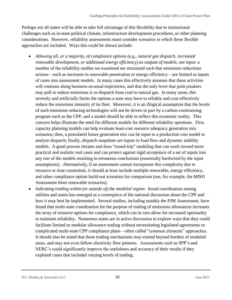Perhaps not all states will be able to take full advantage of this flexibility due to institutional challenges such as in-state political climate, infrastructure development procedures, or other planning considerations. However, reliability assessments must consider scenarios in which these flexible approaches are included. Ways this could be shown include:

- *Allowing all, or a majority, of compliance options (e.g., natural gas dispatch, increased renewable development, or additional energy efficiency) as outputs of models, not input*: a number of the reliability studies we examined are structured such that emissions reductions actions—such as increases in renewable penetration or energy efficiency—are limited as inputs of cases into assessment models. In many cases this effectively assumes that these activities will continue along business-as-usual trajectories, and that the only lever that policymakers may pull to reduce emissions is re-dispatch from coal to natural gas. In many areas, this severely and artificially limits the options a state may have to reliably and cost-effectively reduce the emissions intensity of its fleet. Moreover, it is an illogical assumption that the levels of such emissions reducing technologies will not be driven in part by a carbon-constraining program such as the CPP, and a model should be able to reflect this economic reality. This concern helps illustrate the need for different models for different reliability questions. First, capacity planning models can help evaluate least-cost resource adequacy generation mix scenarios; then, a postulated future generation mix can be input to a production cost model to analyze dispatch; finally, dispatch snapshots are inputs to load flow and dynamic stability models. A good process iterates and does "round-trip" modeling that can work toward more practical and realistic end cases and can protect against rigid acceptance of a set of inputs into any one of the models resulting in erroneous conclusions (essentially hardwired by the input assumptions). Alternatively, if an assessment cannot incorporate this complexity due to resource or time constraints, it should at least include multiple renewable, energy efficiency, and other compliance option build-out scenarios for comparison (see, for example, the MISO Assessment three renewable scenarios).
- *Indicating trading within (or outside of) the modeled region*: broad coordination among utilities and states has emerged as a centerpiece of the national discussion about the CPP and how it may best be implemented. Several studies, including notably the PJM Assessment, have found that multi-state coordination for the purpose of trading of emissions allowances increases the array of resource options for compliance, which can in turn allow for increased optionality to maintain reliability. Numerous states are in active discussion to explore ways that they could facilitate limited or modular allowance trading without necessitating legislated agreements or complicated multi-state CPP compliance plans—often called "common elements" approaches. It should also be noted that these trading mechanisms may extend beyond borders of modeled areas, and may not even follow electricity flow patterns. Assessments such as SPP's and NERC's could significantly improve the usefulness and accuracy of their results if they explored cases that included varying levels of trading.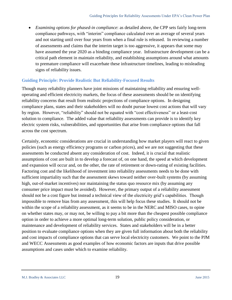*Examining options for phased-in compliance*: as detailed above, the CPP sets fairly long-term compliance pathways, with "interim" compliance calculated over an average of several years and not starting until over four years from when a final rule is released. In reviewing a number of assessments and claims that the interim target is too aggressive, it appears that some may have assumed the year 2020 as a binding compliance year. Infrastructure development can be a critical path element in maintain reliability, and establishing assumptions around what amounts to premature compliance will exacerbate these infrastructure timelines, leading to misleading signs of reliability issues.

#### <span id="page-23-0"></span>**Guiding Principle: Provide Realistic But Reliability-Focused Results**

Though many reliability planners have joint missions of maintaining reliability and ensuring welloperating and efficient electricity markets, the focus of these assessments should be on identifying reliability concerns that result from realistic projections of compliance options. In designing compliance plans, states and their stakeholders will no doubt pursue lowest cost actions that will vary by region. However, "reliability" should not be equated with "cost effectiveness" or a least-cost solution to compliance. The added value that reliability assessments can provide is to identify key electric system risks, vulnerabilities, and opportunities that arise from compliance options that fall across the cost spectrum.

Certainly, economic considerations are crucial in understanding how market players will react to given policies (such as energy efficiency programs or carbon prices), and we are not suggesting that these assessments be conducted absent any consideration of cost. Indeed, it is crucial that realistic assumptions of cost are built in to develop a forecast of, on one hand, the speed at which development and expansion will occur and, on the other, the rate of retirement or down-rating of existing facilities. Factoring cost and the likelihood of investment into reliability assessments needs to be done with sufficient impartiality such that the assessment skews toward neither over-built systems (by assuming high, out-of-market incentives) nor maintaining the status quo resource mix (by assuming any consumer price impact must be avoided). However, the primary output of a reliability assessment should not be a cost figure but instead a technical view of the electricity grid's capabilities. Though impossible to remove bias from any assessment, this will help focus these studies. It should not be within the scope of a reliability assessment, as it seems to be in the NERC and MISO cases, to opine on whether states may, or may not, be willing to pay a bit more than the cheapest possible compliance option in order to achieve a more optimal long-term solution, public policy consideration, or maintenance and development of reliability services. States and stakeholders will be in a better position to evaluate compliance options when they are given full information about both the reliability and cost impacts of compliance options that can serve local electricity customers. We point to the PJM and WECC Assessments as good examples of how economic factors are inputs that drive possible assumptions and cases under which to examine reliability.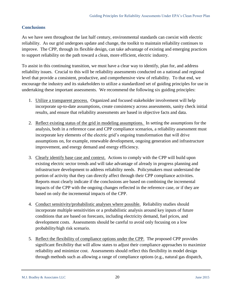#### <span id="page-24-0"></span>**Conclusions**

As we have seen throughout the last half century, environmental standards can coexist with electric reliability. As our grid undergoes update and change, the toolkit to maintain reliability continues to improve. The CPP, through its flexible design, can take advantage of existing and emerging practices to support reliability on the path toward a clean, more efficient, electric industry.

To assist in this continuing transition, we must have a clear way to identify, plan for, and address reliability issues. Crucial to this will be reliability assessments conducted on a national and regional level that provide a consistent, productive, and comprehensive view of reliability. To that end, we encourage the industry and its stakeholders to utilize a standardized set of guiding principles for use in undertaking these important assessments. We recommend the following six guiding principles:

- 1. Utilize a transparent process. Organized and focused stakeholder involvement will help incorporate up-to-date assumptions, create consistency across assessments, sanity check initial results, and ensure that reliability assessments are based in objective facts and data.
- 2. Reflect existing status of the grid in modeling assumptions. In setting the assumptions for the analysis, both in a reference case and CPP compliance scenarios, a reliability assessment must incorporate key elements of the electric grid's ongoing transformation that will drive assumptions on, for example, renewable development, ongoing generation and infrastructure improvement, and energy demand and energy efficiency.
- 3. Clearly identify base case and context. Actions to comply with the CPP will build upon existing electric sector trends and will take advantage of already in progress planning and infrastructure development to address reliability needs. Policymakers must understand the portion of activity that they can directly affect through their CPP compliance activities. Reports must clearly indicate if the conclusions are based on combining the incremental impacts of the CPP with the ongoing changes reflected in the reference case, or if they are based on only the incremental impacts of the CPP.
- 4. Conduct sensitivity/probabilistic analyses where possible. Reliability studies should incorporate multiple sensitivities or a probabilistic analysis around key inputs of future conditions that are based on forecasts, including electricity demand, fuel prices, and development costs. Assessments should be careful to avoid only focusing on a low probability/high risk scenario.
- 5. Reflect the flexibility of compliance options under the CPP. The proposed CPP provides significant flexibility that will allow states to adjust their compliance approaches to maximize reliability and minimize cost. Assessments should reflect this flexibility in model design through methods such as allowing a range of compliance options (e.g., natural gas dispatch,

M.J. Bradley & Associates LLC 5. 20 June 2015